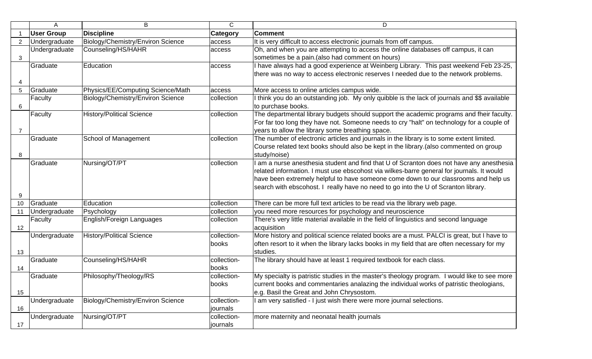|                | A                 | B                                 | $\mathsf C$             | D                                                                                                                                                                                                                                                                                                                                                                  |
|----------------|-------------------|-----------------------------------|-------------------------|--------------------------------------------------------------------------------------------------------------------------------------------------------------------------------------------------------------------------------------------------------------------------------------------------------------------------------------------------------------------|
|                | <b>User Group</b> | <b>Discipline</b>                 | <b>Category</b>         | <b>Comment</b>                                                                                                                                                                                                                                                                                                                                                     |
| $\overline{2}$ | Undergraduate     | Biology/Chemistry/Environ Science | access                  | It is very difficult to access electronic journals from off campus.                                                                                                                                                                                                                                                                                                |
| 3              | Undergraduate     | Counseling/HS/HAHR                | access                  | Oh, and when you are attempting to access the online databases off campus, it can<br>sometimes be a pain.(also had comment on hours)                                                                                                                                                                                                                               |
| 4              | Graduate          | Education                         | access                  | I have always had a good experience at Weinberg Library. This past weekend Feb 23-25,<br>there was no way to access electronic reserves I needed due to the network problems.                                                                                                                                                                                      |
| 5              | Graduate          | Physics/EE/Computing Science/Math | access                  | More access to online articles campus wide.                                                                                                                                                                                                                                                                                                                        |
| 6              | Faculty           | Biology/Chemistry/Environ Science | collection              | I think you do an outstanding job. My only quibble is the lack of journals and \$\$ available<br>to purchase books.                                                                                                                                                                                                                                                |
| $\overline{7}$ | Faculty           | <b>History/Political Science</b>  | collection              | The departmental library budgets should support the academic programs and fheir faculty.<br>For far too long they have not. Someone needs to cry "halt" on technology for a couple of<br>years to allow the library some breathing space.                                                                                                                          |
| 8              | Graduate          | School of Management              | collection              | The number of electronic articles and journals in the library is to some extent limited.<br>Course related text books should also be kept in the library. (also commented on group<br>study/noise)                                                                                                                                                                 |
| 9              | Graduate          | Nursing/OT/PT                     | collection              | I am a nurse anesthesia student and find that U of Scranton does not have any anesthesia<br>related information. I must use ebscohost via wilkes-barre general for journals. It would<br>have been extremely helpful to have someone come down to our classrooms and help us<br>search with ebscohost. I really have no need to go into the U of Scranton library. |
| 10             | Graduate          | Education                         | collection              | There can be more full text articles to be read via the library web page.                                                                                                                                                                                                                                                                                          |
| 11             | Undergraduate     | Psychology                        | collection              | you need more resources for psychology and neuroscience                                                                                                                                                                                                                                                                                                            |
| 12             | Faculty           | English/Foreign Languages         | collection              | There's very little material available in the field of linguistics and second language<br>acquisition                                                                                                                                                                                                                                                              |
| 13             | Undergraduate     | <b>History/Political Science</b>  | collection-<br>books    | More history and political science related books are a must. PALCI is great, but I have to<br>often resort to it when the library lacks books in my field that are often necessary for my<br>studies.                                                                                                                                                              |
| 14             | Graduate          | Counseling/HS/HAHR                | collection-<br>books    | The library should have at least 1 required textbook for each class.                                                                                                                                                                                                                                                                                               |
| 15             | Graduate          | Philosophy/Theology/RS            | collection-<br>books    | My specialty is patristic studies in the master's theology program. I would like to see more<br>current books and commentaries analazing the individual works of patristic theologians,<br>e.g. Basil the Great and John Chrysostom.                                                                                                                               |
| 16             | Undergraduate     | Biology/Chemistry/Environ Science | collection-<br>journals | I am very satisfied - I just wish there were more journal selections.                                                                                                                                                                                                                                                                                              |
| 17             | Undergraduate     | Nursing/OT/PT                     | collection-<br>journals | more maternity and neonatal health journals                                                                                                                                                                                                                                                                                                                        |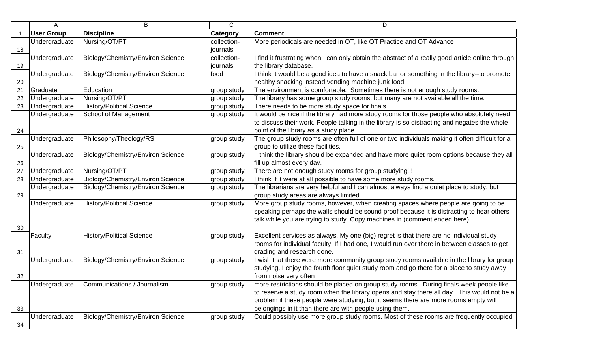|    | A                 | B                                         | $\mathsf{C}$ | D                                                                                                 |
|----|-------------------|-------------------------------------------|--------------|---------------------------------------------------------------------------------------------------|
|    | <b>User Group</b> | <b>Discipline</b>                         | Category     | <b>Comment</b>                                                                                    |
|    | Undergraduate     | Nursing/OT/PT                             | collection-  | More periodicals are needed in OT, like OT Practice and OT Advance                                |
| 18 |                   |                                           | journals     |                                                                                                   |
|    | Undergraduate     | Biology/Chemistry/Environ Science         | collection-  | I find it frustrating when I can only obtain the abstract of a really good article online through |
| 19 |                   |                                           | journals     | the library database.                                                                             |
|    | Undergraduate     | Biology/Chemistry/Environ Science         | food         | I think it would be a good idea to have a snack bar or something in the library--to promote       |
| 20 |                   |                                           |              | healthy snacking instead vending machine junk food.                                               |
| 21 | Graduate          | Education                                 | group study  | The environment is comfortable. Sometimes there is not enough study rooms.                        |
| 22 | Undergraduate     | Nursing/OT/PT                             | group study  | The library has some group study rooms, but many are not available all the time.                  |
| 23 | Undergraduate     | <b>History/Political Science</b>          | group study  | There needs to be more study space for finals.                                                    |
|    | Undergraduate     | School of Management                      | group study  | It would be nice if the library had more study rooms for those people who absolutely need         |
|    |                   |                                           |              | to discuss their work. People talking in the library is so distracting and negates the whole      |
| 24 |                   |                                           |              | point of the library as a study place.                                                            |
|    | Undergraduate     | Philosophy/Theology/RS                    | group study  | The group study rooms are often full of one or two individuals making it often difficult for a    |
| 25 |                   |                                           |              | group to utilize these facilities.                                                                |
|    | Undergraduate     | Biology/Chemistry/Environ Science         | group study  | I think the library should be expanded and have more quiet room options because they all          |
| 26 |                   |                                           |              | fill up almost every day.                                                                         |
| 27 | Undergraduate     | Nursing/OT/PT                             | group study  | There are not enough study rooms for group studying!!!                                            |
| 28 | Undergraduate     | Biology/Chemistry/Environ Science         | group study  | I think if it were at all possible to have some more study rooms.                                 |
|    | Undergraduate     | Biology/Chemistry/Environ Science         | group study  | The librarians are very helpful and I can almost always find a quiet place to study, but          |
| 29 |                   |                                           |              | group study areas are always limited                                                              |
|    | Undergraduate     | <b>History/Political Science</b>          | group study  | More group study rooms, however, when creating spaces where people are going to be                |
|    |                   |                                           |              | speaking perhaps the walls should be sound proof because it is distracting to hear others         |
|    |                   |                                           |              | talk while you are trying to study. Copy machines in (comment ended here)                         |
| 30 |                   |                                           |              |                                                                                                   |
|    | Faculty           | <b>History/Political Science</b>          | group study  | Excellent services as always. My one (big) regret is that there are no individual study           |
|    |                   |                                           |              | rooms for individual faculty. If I had one, I would run over there in between classes to get      |
| 31 |                   |                                           |              | grading and research done.                                                                        |
|    | Undergraduate     | Biology/Chemistry/Environ Science         | group study  | I wish that there were more community group study rooms available in the library for group        |
|    |                   |                                           |              | studying. I enjoy the fourth floor quiet study room and go there for a place to study away        |
| 32 |                   |                                           |              | from noise very often                                                                             |
|    |                   | Undergraduate Communications / Journalism | group study  | more restrictions should be placed on group study rooms. During finals week people like           |
|    |                   |                                           |              | to reserve a study room when the library opens and stay there all day. This would not be a        |
|    |                   |                                           |              | problem if these people were studying, but it seems there are more rooms empty with               |
| 33 |                   |                                           |              | belongings in it than there are with people using them.                                           |
|    | Undergraduate     | Biology/Chemistry/Environ Science         | group study  | Could possibly use more group study rooms. Most of these rooms are frequently occupied.           |
| 34 |                   |                                           |              |                                                                                                   |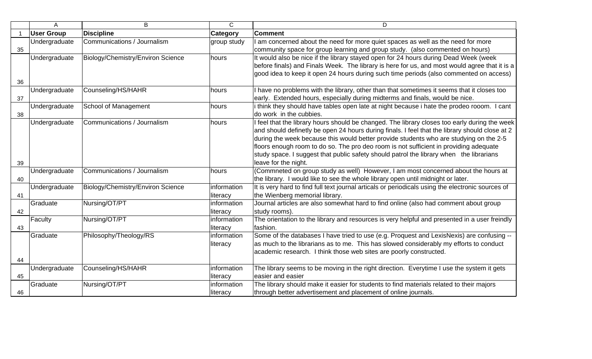|    | A                 | B                                 | $\mathsf{C}$ | D                                                                                                 |
|----|-------------------|-----------------------------------|--------------|---------------------------------------------------------------------------------------------------|
|    | <b>User Group</b> | <b>Discipline</b>                 | Category     | <b>Comment</b>                                                                                    |
|    | Undergraduate     | Communications / Journalism       | group study  | I am concerned about the need for more quiet spaces as well as the need for more                  |
| 35 |                   |                                   |              | community space for group learning and group study. (also commented on hours)                     |
|    | Undergraduate     | Biology/Chemistry/Environ Science | hours        | It would also be nice if the library stayed open for 24 hours during Dead Week (week              |
|    |                   |                                   |              | before finals) and Finals Week. The library is here for us, and most would agree that it is a     |
|    |                   |                                   |              | good idea to keep it open 24 hours during such time periods (also commented on access)            |
| 36 |                   |                                   |              |                                                                                                   |
|    | Undergraduate     | Counseling/HS/HAHR                | hours        | I have no problems with the library, other than that sometimes it seems that it closes too        |
| 37 |                   |                                   |              | early. Extended hours, especially during midterms and finals, would be nice.                      |
|    | Undergraduate     | School of Management              | hours        | i think they should have tables open late at night because i hate the prodeo rooom. I cant        |
| 38 |                   |                                   |              | do work in the cubbies.                                                                           |
|    | Undergraduate     | Communications / Journalism       | hours        | I feel that the library hours should be changed. The library closes too early during the week     |
|    |                   |                                   |              | and should definetly be open 24 hours during finals. I feel that the library should close at 2    |
|    |                   |                                   |              | during the week because this would better provide students who are studying on the 2-5            |
|    |                   |                                   |              | floors enough room to do so. The pro deo room is not sufficient in providing adequate             |
|    |                   |                                   |              | study space. I suggest that public safety should patrol the library when the librarians           |
| 39 |                   |                                   |              | leave for the night.                                                                              |
|    | Undergraduate     | Communications / Journalism       | hours        | (Commneted on group study as well) However, I am most concerned about the hours at                |
| 40 |                   |                                   |              | the library. I would like to see the whole library open until midnight or later.                  |
|    | Undergraduate     | Biology/Chemistry/Environ Science | information  | It is very hard to find full text journal articals or periodicals using the electronic sources of |
| 41 |                   |                                   | literacy     | the Wienberg memorial library.                                                                    |
|    | Graduate          | Nursing/OT/PT                     | information  | Journal articles are also somewhat hard to find online (also had comment about group              |
| 42 |                   |                                   | literacy     | study rooms).                                                                                     |
|    | Faculty           | Nursing/OT/PT                     | information  | The orientation to the library and resources is very helpful and presented in a user freindly     |
| 43 |                   |                                   | literacy     | fashion.                                                                                          |
|    | Graduate          | Philosophy/Theology/RS            | information  | Some of the databases I have tried to use (e.g. Proquest and LexisNexis) are confusing --         |
|    |                   |                                   | literacy     | as much to the librarians as to me. This has slowed considerably my efforts to conduct            |
|    |                   |                                   |              | academic research. I think those web sites are poorly constructed.                                |
| 44 |                   |                                   |              |                                                                                                   |
|    | Undergraduate     | Counseling/HS/HAHR                | information  | The library seems to be moving in the right direction. Everytime I use the system it gets         |
| 45 |                   |                                   | literacy     | easier and easier                                                                                 |
|    | Graduate          | Nursing/OT/PT                     | information  | The library should make it easier for students to find materials related to their majors          |
| 46 |                   |                                   | literacy     | through better advertisement and placement of online journals.                                    |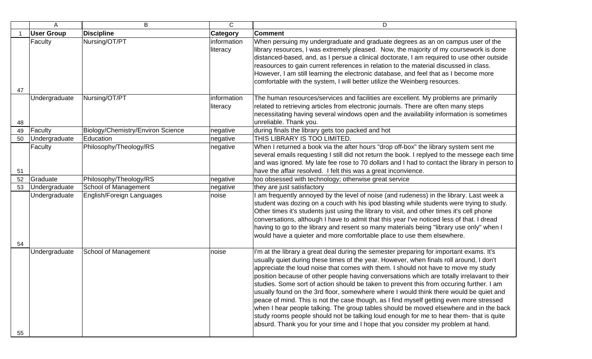|    | A                 | B                                 | C                       | D                                                                                                                                                                                                                                                                                                                                                                                                                                                                                                                                                                                                                                                                                                                                                                                                                                                                                                                                 |
|----|-------------------|-----------------------------------|-------------------------|-----------------------------------------------------------------------------------------------------------------------------------------------------------------------------------------------------------------------------------------------------------------------------------------------------------------------------------------------------------------------------------------------------------------------------------------------------------------------------------------------------------------------------------------------------------------------------------------------------------------------------------------------------------------------------------------------------------------------------------------------------------------------------------------------------------------------------------------------------------------------------------------------------------------------------------|
|    | <b>User Group</b> | <b>Discipline</b>                 | <b>Category</b>         | <b>Comment</b>                                                                                                                                                                                                                                                                                                                                                                                                                                                                                                                                                                                                                                                                                                                                                                                                                                                                                                                    |
|    | Faculty           | Nursing/OT/PT                     | information<br>literacy | When persuing my undergraduate and graduate degrees as an on campus user of the<br>library resources, I was extremely pleased. Now, the majority of my coursework is done<br>distanced-based, and, as I persue a clinical doctorate, I am required to use other outside<br>reasources to gain current references in relation to the material discussed in class.<br>However, I am still learning the electronic database, and feel that as I become more<br>comfortable with the system, I will better utilize the Weinberg resources.                                                                                                                                                                                                                                                                                                                                                                                            |
| 47 |                   |                                   |                         |                                                                                                                                                                                                                                                                                                                                                                                                                                                                                                                                                                                                                                                                                                                                                                                                                                                                                                                                   |
| 48 | Undergraduate     | Nursing/OT/PT                     | information<br>literacy | The human resources/services and facilities are excellent. My problems are primarily<br>related to retrieving articles from electronic journals. There are often many steps<br>necessitating having several windows open and the availability information is sometimes<br>unreliable. Thank you.                                                                                                                                                                                                                                                                                                                                                                                                                                                                                                                                                                                                                                  |
| 49 | Faculty           | Biology/Chemistry/Environ Science | negative                | during finals the library gets too packed and hot                                                                                                                                                                                                                                                                                                                                                                                                                                                                                                                                                                                                                                                                                                                                                                                                                                                                                 |
| 50 | Undergraduate     | Education                         | negative                | THIS LIBRARY IS TOO LIMITED.                                                                                                                                                                                                                                                                                                                                                                                                                                                                                                                                                                                                                                                                                                                                                                                                                                                                                                      |
| 51 | Faculty           | Philosophy/Theology/RS            | negative                | When I returned a book via the after hours "drop off-box" the library system sent me<br>several emails requesting I still did not return the book. I replyed to the messege each time<br>and was ignored. My late fee rose to 70 dollars and I had to contact the library in person to<br>have the affair resolved. I felt this was a great inconvience.                                                                                                                                                                                                                                                                                                                                                                                                                                                                                                                                                                          |
| 52 | Graduate          | Philosophy/Theology/RS            | negative                | too obsessed with technology; otherwise great service                                                                                                                                                                                                                                                                                                                                                                                                                                                                                                                                                                                                                                                                                                                                                                                                                                                                             |
| 53 | Undergraduate     | School of Management              | negative                | they are just satisfactory                                                                                                                                                                                                                                                                                                                                                                                                                                                                                                                                                                                                                                                                                                                                                                                                                                                                                                        |
| 54 | Undergraduate     | English/Foreign Languages         | noise                   | I am frequently annoyed by the level of noise (and rudeness) in the library. Last week a<br>student was dozing on a couch with his ipod blasting while students were trying to study.<br>Other times it's students just using the library to visit, and other times it's cell phone<br>conversations, although I have to admit that this year I've noticed less of that. I dread<br>having to go to the library and resent so many materials being "library use only" when I<br>would have a quieter and more comfortable place to use them elsewhere.                                                                                                                                                                                                                                                                                                                                                                            |
| 55 | Undergraduate     | <b>School of Management</b>       | noise                   | I'm at the library a great deal during the semester preparing for important exams. It's<br>usually quiet during these times of the year. However, when finals roll around, I don't<br>appreciate the loud noise that comes with them. I should not have to move my study<br>position because of other people having conversations which are totally irrelavant to their<br>studies. Some sort of action should be taken to prevent this from occuring further. I am<br>usually found on the 3rd floor, somewhere where I would think there would be quiet and<br>peace of mind. This is not the case though, as I find myself getting even more stressed<br>when I hear people talking. The group tables should be moved elsewhere and in the back<br>study rooms people should not be talking loud enough for me to hear them- that is quite<br>absurd. Thank you for your time and I hope that you consider my problem at hand. |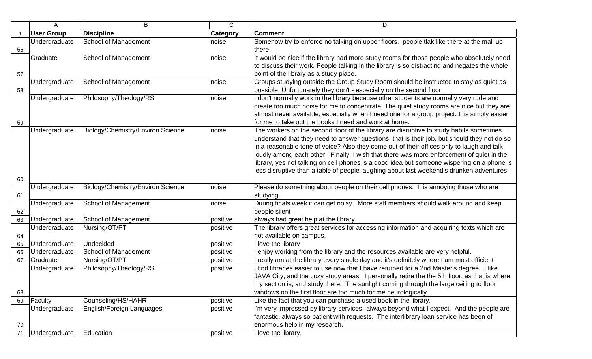|    | A                 | В                                 | $\mathsf{C}$    | D                                                                                            |
|----|-------------------|-----------------------------------|-----------------|----------------------------------------------------------------------------------------------|
|    | <b>User Group</b> | <b>Discipline</b>                 | <b>Category</b> | <b>Comment</b>                                                                               |
|    | Undergraduate     | School of Management              | noise           | Somehow try to enforce no talking on upper floors. people tlak like there at the mall up     |
| 56 |                   |                                   |                 | there.                                                                                       |
|    | Graduate          | School of Management              | noise           | It would be nice if the library had more study rooms for those people who absolutely need    |
|    |                   |                                   |                 | to discuss their work. People talking in the library is so distracting and negates the whole |
| 57 |                   |                                   |                 | point of the library as a study place.                                                       |
|    | Undergraduate     | <b>School of Management</b>       | noise           | Groups studying outside the Group Study Room should be instructed to stay as quiet as        |
| 58 |                   |                                   |                 | possible. Unfortunately they don't - especially on the second floor.                         |
|    | Undergraduate     | Philosophy/Theology/RS            | noise           | don't normally work in the library because other students are normally very rude and         |
|    |                   |                                   |                 | create too much noise for me to concentrate. The quiet study rooms are nice but they are     |
|    |                   |                                   |                 | almost never available, especially when I need one for a group project. It is simply easier  |
| 59 |                   |                                   |                 | for me to take out the books I need and work at home.                                        |
|    | Undergraduate     | Biology/Chemistry/Environ Science | noise           | The workers on the second floor of the library are disruptive to study habits sometimes. I   |
|    |                   |                                   |                 | understand that they need to answer questions, that is their job, but should they not do so  |
|    |                   |                                   |                 | in a reasonable tone of voice? Also they come out of their offices only to laugh and talk    |
|    |                   |                                   |                 | loudly among each other. Finally, I wish that there was more enforcement of quiet in the     |
|    |                   |                                   |                 | library, yes not talking on cell phones is a good idea but someone wispering on a phone is   |
|    |                   |                                   |                 | less disruptive than a table of people laughing about last weekend's drunken adventures.     |
| 60 |                   |                                   |                 |                                                                                              |
|    | Undergraduate     | Biology/Chemistry/Environ Science | noise           | Please do something about people on their cell phones. It is annoying those who are          |
| 61 |                   |                                   |                 | studying.                                                                                    |
|    | Undergraduate     | School of Management              | noise           | During finals week it can get noisy. More staff members should walk around and keep          |
| 62 |                   |                                   |                 | people silent                                                                                |
| 63 | Undergraduate     | School of Management              | positive        | always had great help at the library                                                         |
|    | Undergraduate     | Nursing/OT/PT                     | positive        | The library offers great services for accessing information and acquiring texts which are    |
| 64 |                   |                                   |                 | not available on campus.                                                                     |
| 65 | Undergraduate     | Undecided                         | positive        | I love the library                                                                           |
| 66 | Undergraduate     | School of Management              | positive        | enjoy working from the library and the resources available are very helpful.                 |
| 67 | Graduate          | Nursing/OT/PT                     | positive        | really am at the library every single day and it's definitely where I am most efficient      |
|    | Undergraduate     | Philosophy/Theology/RS            | positive        | I find libraries easier to use now that I have returned for a 2nd Master's degree. I like    |
|    |                   |                                   |                 | JAVA City, and the cozy study areas. I personally retire the the 5th floor, as that is where |
|    |                   |                                   |                 | my section is, and study there. The sunlight coming through the large ceiling to floor       |
| 68 |                   |                                   |                 | windows on the first floor are too much for me neurologically.                               |
| 69 | Faculty           | Counseling/HS/HAHR                | positive        | Like the fact that you can purchase a used book in the library.                              |
|    | Undergraduate     | English/Foreign Languages         | positive        | I'm very impressed by library services--always beyond what I expect. And the people are      |
|    |                   |                                   |                 | fantastic, always so patient with requests. The interlibrary loan service has been of        |
| 70 |                   |                                   |                 | enormous help in my research.                                                                |
| 71 | Undergraduate     | Education                         | positive        | I love the library.                                                                          |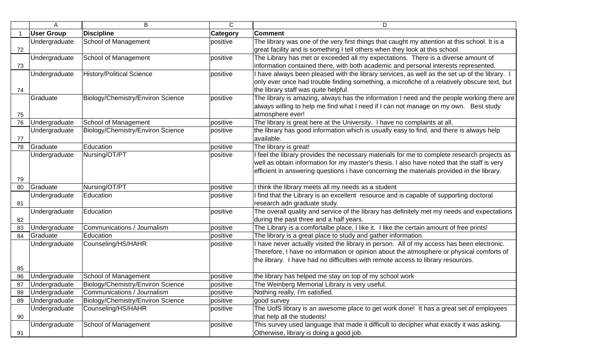|    | A                              | B                                 | $\mathsf{C}$ | D                                                                                                     |
|----|--------------------------------|-----------------------------------|--------------|-------------------------------------------------------------------------------------------------------|
|    | <b>User Group</b>              | <b>Discipline</b>                 | Category     | <b>Comment</b>                                                                                        |
|    | Undergraduate                  | School of Management              | positive     | The library was one of the very first things that caught my attention at this school. It is a         |
| 72 |                                |                                   |              | great facility and is something I tell others when they look at this school.                          |
|    | Undergraduate                  | School of Management              | positive     | The Library has met or exceeded all my expectations. There is a diverse amount of                     |
| 73 |                                |                                   |              | information contained there, with both academic and personal interests represented.                   |
|    | Undergraduate                  | <b>History/Political Science</b>  | positive     | I have always been pleased with the library services, as well as the set up of the library. I         |
|    |                                |                                   |              | only ever once had trouble finding something, a microfiche of a relatively obscure text, but          |
| 74 |                                |                                   |              | the library staff was quite helpful.                                                                  |
|    | Graduate                       | Biology/Chemistry/Environ Science | positive     | The library is amazing, always has the information I need and the people working there are            |
|    |                                |                                   |              | always willing to help me find what I need if I can not manage on my own. Best study                  |
| 75 |                                |                                   |              | atmosphere ever!                                                                                      |
| 76 | Undergraduate                  | School of Management              | positive     | The library is great here at the University. I have no complaints at all.                             |
|    | Undergraduate                  | Biology/Chemistry/Environ Science | positive     | the library has good information which is usually easy to find, and there is always help              |
| 77 |                                |                                   |              | available.                                                                                            |
| 78 | Graduate                       | Education                         | positive     | The library is great!                                                                                 |
|    | Undergraduate                  | Nursing/OT/PT                     | positive     | I feel the library provides the necessary materials for me to complete research projects as           |
|    |                                |                                   |              | well as obtain information for my master's thesis. I also have noted that the staff is very           |
|    |                                |                                   |              | efficient in answering questions i have concerning the materials provided in the library.             |
| 79 |                                |                                   |              |                                                                                                       |
| 80 | Graduate                       | Nursing/OT/PT                     | positive     | I think the library meets all my needs as a student                                                   |
|    | Undergraduate                  | Education                         | positive     | I find that the Library is an excellent resource and is capable of supporting doctoral                |
| 81 |                                |                                   |              | research adn graduate study.                                                                          |
|    | Undergraduate                  | Education                         | positive     | The overall quality and service of the library has definitely met my needs and expectations           |
| 82 |                                |                                   |              | during the past three and a half years.                                                               |
| 83 | Undergraduate                  | Communications / Journalism       | positive     | The Library is a comfortalbe place, I like it. I like the certain amount of free prints!              |
| 84 | Graduate                       | Education                         | positive     | The library is a great place to study and gather information.                                         |
|    | Undergraduate                  | Counseling/HS/HAHR                | positive     | I have never actually visited the library in person. All of my access has been electronic.            |
|    |                                |                                   |              | Therefore, I have no information or opinion about the atmosphere or physical comforts of              |
|    |                                |                                   |              | the library. I have had no difficulties with remote access to library resources.                      |
| 85 |                                |                                   |              |                                                                                                       |
| 86 | Undergraduate                  | School of Management              | positive     | the library has helped me stay on top of my school work                                               |
| 87 | Undergraduate                  | Biology/Chemistry/Environ Science | positive     | The Weinberg Memorial Library is very useful.                                                         |
| 88 | Undergraduate                  | Communications / Journalism       | positive     | Nothing really, I'm satisfied.                                                                        |
| 89 | Undergraduate<br>Undergraduate | Biology/Chemistry/Environ Science | positive     | good survey<br>The UofS library is an awesome place to get work done! It has a great set of employees |
|    |                                | Counseling/HS/HAHR                | positive     |                                                                                                       |
| 90 |                                |                                   | positive     | that help all the students!                                                                           |
|    | Undergraduate                  | School of Management              |              | This survey used language that made it difficult to decipher what exactly it was asking.              |
| 91 |                                |                                   |              | Otherwise, library is doing a good job.                                                               |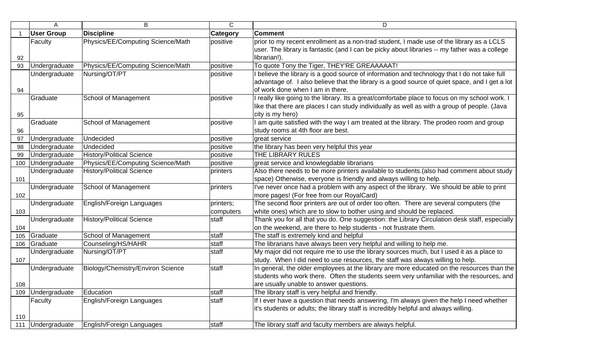|     | A                 | B                                 | $\mathsf C$ | D                                                                                              |
|-----|-------------------|-----------------------------------|-------------|------------------------------------------------------------------------------------------------|
|     | <b>User Group</b> | <b>Discipline</b>                 | Category    | <b>Comment</b>                                                                                 |
|     | Faculty           | Physics/EE/Computing Science/Math | positive    | prior to my recent enrollment as a non-trad student, I made use of the library as a LCLS       |
|     |                   |                                   |             | user. The library is fantastic (and I can be picky about libraries -- my father was a college  |
| 92  |                   |                                   |             | librarian!).                                                                                   |
| 93  | Undergraduate     | Physics/EE/Computing Science/Math | positive    | To quote Tony the Tiger, THEY'RE GREAAAAAT!                                                    |
|     | Undergraduate     | Nursing/OT/PT                     | positive    | I believe the library is a good source of information and technology that I do not take full   |
|     |                   |                                   |             | advantage of. I also believe that the library is a good source of quiet space, and I get a lot |
| 94  |                   |                                   |             | of work done when I am in there.                                                               |
|     | Graduate          | School of Management              | positive    | I really like going to the library. Its a great/comfortabe place to focus on my school work. I |
|     |                   |                                   |             | like that there are places I can study individually as well as with a group of people. (Java   |
| 95  |                   |                                   |             | city is my hero)                                                                               |
|     | Graduate          | School of Management              | positive    | I am quite satisfied with the way I am treated at the library. The prodeo room and group       |
| 96  |                   |                                   |             | study rooms at 4th floor are best.                                                             |
| 97  | Undergraduate     | Undecided                         | positive    | great service                                                                                  |
| 98  | Undergraduate     | Undecided                         | positive    | the library has been very helpful this year                                                    |
| 99  | Undergraduate     | <b>History/Political Science</b>  | positive    | THE LIBRARY RULES                                                                              |
| 100 | Undergraduate     | Physics/EE/Computing Science/Math | positive    | great service and knowlegdable librarians                                                      |
|     | Undergraduate     | <b>History/Political Science</b>  | printers    | Also there needs to be more printers available to students.(also had comment about study       |
| 101 |                   |                                   |             | space) Otherwise, everyone is friendly and always willing to help.                             |
|     | Undergraduate     | School of Management              | printers    | I've never once had a problem with any aspect of the library. We should be able to print       |
| 102 |                   |                                   |             | more pages! (For free from our RoyalCard)                                                      |
|     | Undergraduate     | English/Foreign Languages         | printers;   | The second floor printers are out of order too often. There are several computers (the         |
| 103 |                   |                                   | computers   | white ones) which are to slow to bother using and should be replaced.                          |
|     | Undergraduate     | <b>History/Political Science</b>  | staff       | Thank you for all that you do. One suggestion: the Library Circulation desk staff, especially  |
| 104 |                   |                                   |             | on the weekend, are there to help students - not frustrate them.                               |
| 105 | Graduate          | School of Management              | staff       | The staff is extremely kind and helpful                                                        |
| 106 | Graduate          | Counseling/HS/HAHR                | staff       | The librarians have always been very helpful and willing to help me.                           |
|     | Undergraduate     | Nursing/OT/PT                     | staff       | My major did not require me to use the library sources much, but I used it as a place to       |
| 107 |                   |                                   |             | study. When I did need to use resources, the staff was always willing to help.                 |
|     | Undergraduate     | Biology/Chemistry/Environ Science | staff       | In general, the older employees at the library are more educated on the resources than the     |
|     |                   |                                   |             | students who work there. Often the students seem very unfamiliar with the resources, and       |
| 108 |                   |                                   |             | are usually unable to answer questions.                                                        |
| 109 | Undergraduate     | Education                         | staff       | The library staff is very helpful and friendly.                                                |
|     | Faculty           | English/Foreign Languages         | staff       | If I ever have a question that needs answering, I'm always given the help I need whether       |
|     |                   |                                   |             | it's students or adults; the library staff is incredibly helpful and always willing.           |
| 110 |                   |                                   |             |                                                                                                |
| 111 | Undergraduate     | English/Foreign Languages         | staff       | The library staff and faculty members are always helpful.                                      |